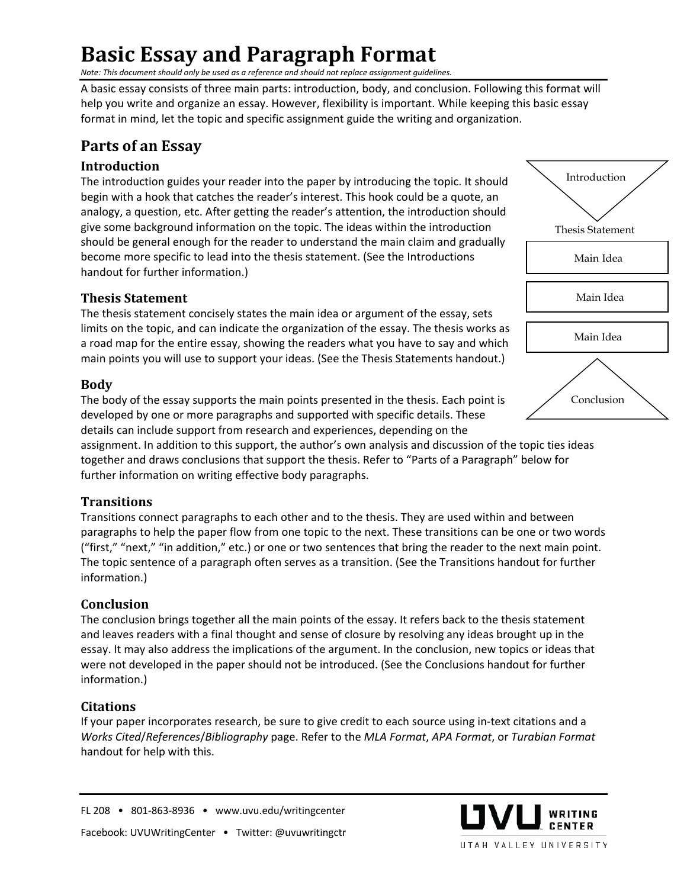# **Basic Essay and Paragraph Format**

*Note: This document should only be used as a reference and should not replace assignment guidelines.* 

A basic essay consists of three main parts: introduction, body, and conclusion. Following this format will help you write and organize an essay. However, flexibility is important. While keeping this basic essay format in mind, let the topic and specific assignment guide the writing and organization.

### **Parts of an Essay**

#### **Introduction**

The introduction guides your reader into the paper by introducing the topic. It should begin with a hook that catches the reader's interest. This hook could be a quote, an analogy, a question, etc. After getting the reader's attention, the introduction should give some background information on the topic. The ideas within the introduction should be general enough for the reader to understand the main claim and gradually become more specific to lead into the thesis statement. (See the Introductions handout for further information.)

#### **Thesis Statement**

The thesis statement concisely states the main idea or argument of the essay, sets limits on the topic, and can indicate the organization of the essay. The thesis works as a road map for the entire essay, showing the readers what you have to say and which main points you will use to support your ideas. (See the Thesis Statements handout.)

#### **Body**

The body of the essay supports the main points presented in the thesis. Each point is developed by one or more paragraphs and supported with specific details. These details can include support from research and experiences, depending on the

assignment. In addition to this support, the author's own analysis and discussion of the topic ties ideas together and draws conclusions that support the thesis. Refer to "Parts of a Paragraph" below for further information on writing effective body paragraphs.

#### **Transitions**

Transitions connect paragraphs to each other and to the thesis. They are used within and between paragraphs to help the paper flow from one topic to the next. These transitions can be one or two words ("first," "next," "in addition," etc.) or one or two sentences that bring the reader to the next main point. The topic sentence of a paragraph often serves as a transition. (See the Transitions handout for further information.)

#### **Conclusion**

The conclusion brings together all the main points of the essay. It refers back to the thesis statement and leaves readers with a final thought and sense of closure by resolving any ideas brought up in the essay. It may also address the implications of the argument. In the conclusion, new topics or ideas that were not developed in the paper should not be introduced. (See the Conclusions handout for further information.)

#### **Citations**

If your paper incorporates research, be sure to give credit to each source using in-text citations and a *Works Cited*/*References*/*Bibliography* page. Refer to the *MLA Format*, *APA Format*, or *Turabian Format* handout for help with this.